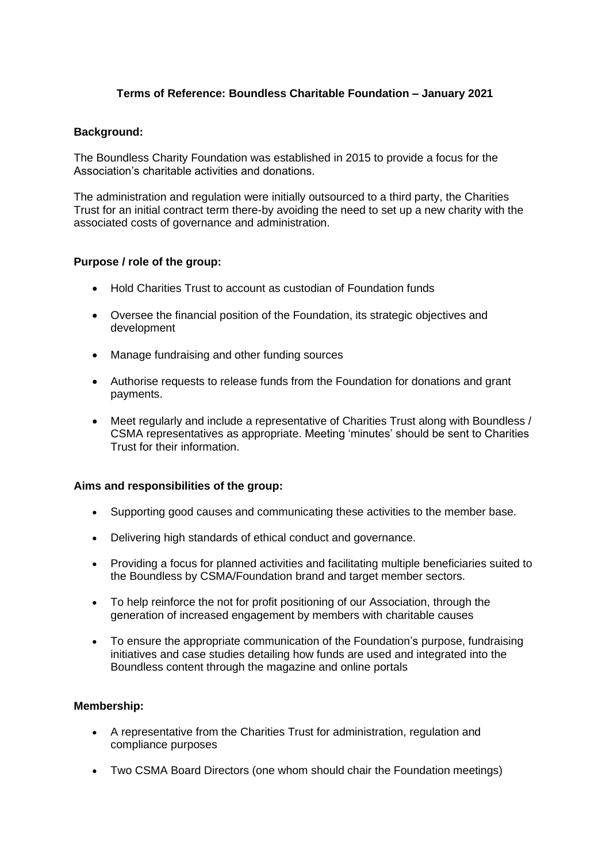# **Terms of Reference: Boundless Charitable Foundation – January 2021**

### **Background:**

The Boundless Charity Foundation was established in 2015 to provide a focus for the Association's charitable activities and donations.

The administration and regulation were initially outsourced to a third party, the Charities Trust for an initial contract term there-by avoiding the need to set up a new charity with the associated costs of governance and administration.

## **Purpose / role of the group:**

- Hold Charities Trust to account as custodian of Foundation funds
- Oversee the financial position of the Foundation, its strategic objectives and development
- Manage fundraising and other funding sources
- Authorise requests to release funds from the Foundation for donations and grant payments.
- Meet regularly and include a representative of Charities Trust along with Boundless / CSMA representatives as appropriate. Meeting 'minutes' should be sent to Charities Trust for their information.

#### **Aims and responsibilities of the group:**

- Supporting good causes and communicating these activities to the member base.
- Delivering high standards of ethical conduct and governance.
- Providing a focus for planned activities and facilitating multiple beneficiaries suited to the Boundless by CSMA/Foundation brand and target member sectors.
- To help reinforce the not for profit positioning of our Association, through the generation of increased engagement by members with charitable causes
- To ensure the appropriate communication of the Foundation's purpose, fundraising initiatives and case studies detailing how funds are used and integrated into the Boundless content through the magazine and online portals

#### **Membership:**

- A representative from the Charities Trust for administration, regulation and compliance purposes
- Two CSMA Board Directors (one whom should chair the Foundation meetings)